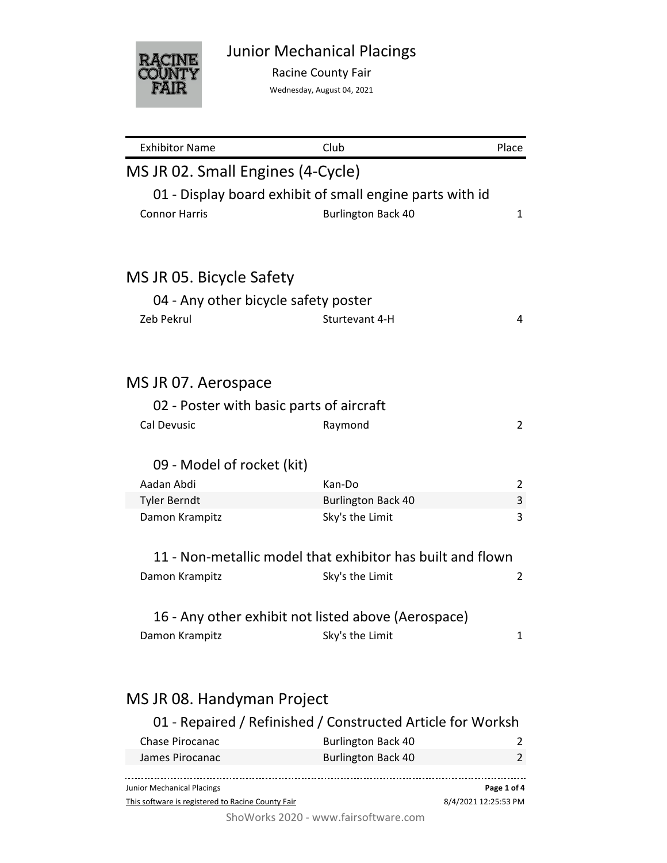

Racine County Fair

Wednesday, August 04, 2021

| <b>Exhibitor Name</b>                                       | Club                      | Place                |
|-------------------------------------------------------------|---------------------------|----------------------|
| MS JR 02. Small Engines (4-Cycle)                           |                           |                      |
| 01 - Display board exhibit of small engine parts with id    |                           |                      |
| <b>Connor Harris</b>                                        | <b>Burlington Back 40</b> | 1                    |
|                                                             |                           |                      |
| MS JR 05. Bicycle Safety                                    |                           |                      |
| 04 - Any other bicycle safety poster                        |                           |                      |
| Zeb Pekrul                                                  | Sturtevant 4-H            | 4                    |
|                                                             |                           |                      |
| MS JR 07. Aerospace                                         |                           |                      |
| 02 - Poster with basic parts of aircraft                    |                           |                      |
| <b>Cal Devusic</b>                                          | Raymond                   | $\overline{2}$       |
| 09 - Model of rocket (kit)                                  |                           |                      |
| Aadan Abdi                                                  | Kan-Do                    | 2                    |
| <b>Tyler Berndt</b>                                         | <b>Burlington Back 40</b> | 3                    |
| Damon Krampitz                                              | Sky's the Limit           | 3                    |
| 11 - Non-metallic model that exhibitor has built and flown  |                           |                      |
| Damon Krampitz                                              | Sky's the Limit           | 2                    |
| 16 - Any other exhibit not listed above (Aerospace)         |                           |                      |
| Damon Krampitz                                              | Sky's the Limit           | 1                    |
| MS JR 08. Handyman Project                                  |                           |                      |
| 01 - Repaired / Refinished / Constructed Article for Worksh |                           |                      |
| <b>Chase Pirocanac</b>                                      | <b>Burlington Back 40</b> | 2                    |
| James Pirocanac                                             | <b>Burlington Back 40</b> | 2                    |
| Junior Mechanical Placings                                  |                           | Page 1 of 4          |
| This software is registered to Racine County Fair           |                           | 8/4/2021 12:25:53 PM |

ShoWorks 2020 - www.fairsoftware.com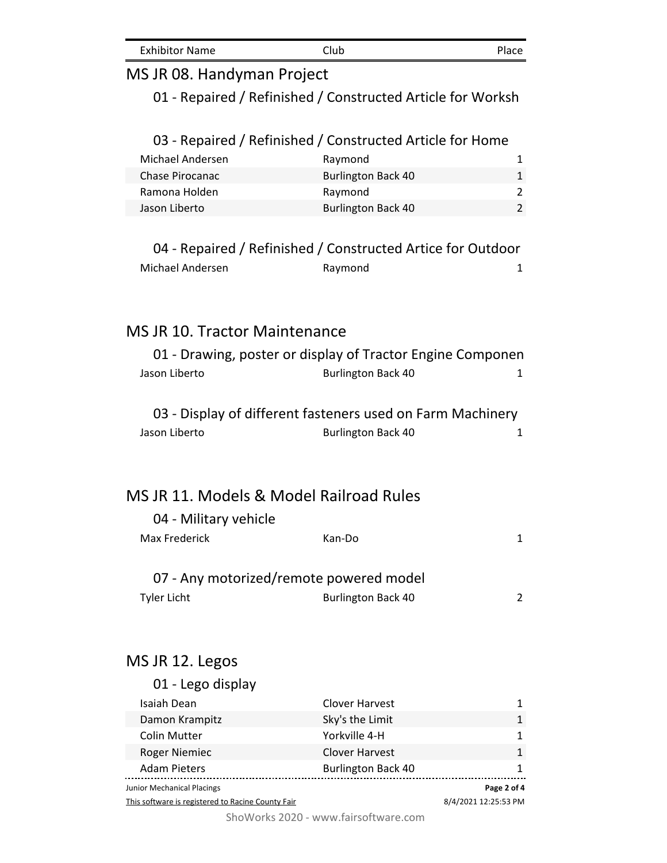| <b>Exhibitor Name</b> | Club | Place |
|-----------------------|------|-------|
|-----------------------|------|-------|

### MS JR 08. Handyman Project

01 - Repaired / Refinished / Constructed Article for Worksh

#### 03 - Repaired / Refinished / Constructed Article for Home

| Michael Andersen | Raymond                   |  |
|------------------|---------------------------|--|
| Chase Pirocanac  | <b>Burlington Back 40</b> |  |
| Ramona Holden    | Raymond                   |  |
| Jason Liberto    | <b>Burlington Back 40</b> |  |

### 04 - Repaired / Refinished / Constructed Artice for Outdoor Michael Andersen and Raymond 1 and 1

### MS JR 10. Tractor Maintenance

|               | 01 - Drawing, poster or display of Tractor Engine Componen |  |
|---------------|------------------------------------------------------------|--|
| Jason Liberto | <b>Burlington Back 40</b>                                  |  |

### 03 - Display of different fasteners used on Farm Machinery Jason Liberto **Burlington Back 40** 1

### MS JR 11. Models & Model Railroad Rules

| 04 - Military vehicle                   |        |  |
|-----------------------------------------|--------|--|
| Max Frederick                           | Kan-Do |  |
|                                         |        |  |
| 07 - Any motorized/remote powered model |        |  |

#### Tyler Licht **Burlington Back 40** 2

### MS JR 12. Legos

| Junior Mechanical Placings |                           | Page 2 of 4 |
|----------------------------|---------------------------|-------------|
| <b>Adam Pieters</b>        | <b>Burlington Back 40</b> |             |
| <b>Roger Niemiec</b>       | <b>Clover Harvest</b>     |             |
| <b>Colin Mutter</b>        | Yorkville 4-H             |             |
| Damon Krampitz             | Sky's the Limit           |             |
| Isaiah Dean                | <b>Clover Harvest</b>     |             |
| 01 - Lego display          |                           |             |

This software is registered to Racine County Fair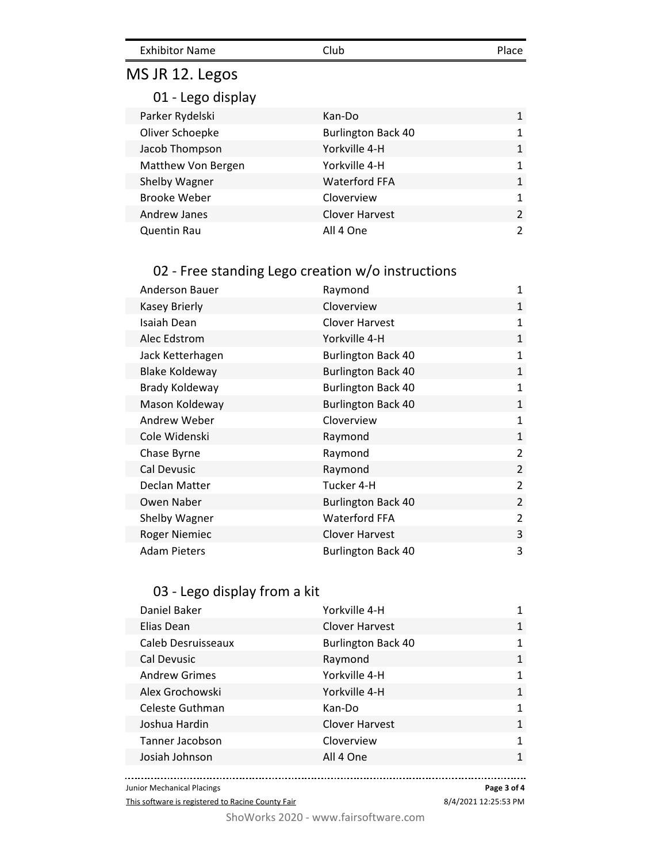| <b>Exhibitor Name</b> | Club | Place |
|-----------------------|------|-------|
|-----------------------|------|-------|

# MS JR 12. Legos

01 - Lego display

| Parker Rydelski     | Kan-Do                    | 1             |
|---------------------|---------------------------|---------------|
| Oliver Schoepke     | <b>Burlington Back 40</b> | 1             |
| Jacob Thompson      | Yorkville 4-H             | $\mathbf{1}$  |
| Matthew Von Bergen  | Yorkville 4-H             | 1             |
| Shelby Wagner       | <b>Waterford FFA</b>      | 1             |
| <b>Brooke Weber</b> | Cloverview                | $\mathbf{1}$  |
| Andrew Janes        | <b>Clover Harvest</b>     | $\mathcal{P}$ |
| <b>Quentin Rau</b>  | All 4 One                 | $\mathcal{P}$ |

### 02 - Free standing Lego creation w/o instructions

| <b>Anderson Bauer</b> | Raymond                   | 1              |
|-----------------------|---------------------------|----------------|
| <b>Kasey Brierly</b>  | Cloverview                | $\mathbf{1}$   |
| Isaiah Dean           | Clover Harvest            | 1              |
| Alec Edstrom          | Yorkville 4-H             | $\mathbf{1}$   |
| Jack Ketterhagen      | <b>Burlington Back 40</b> | 1              |
| <b>Blake Koldeway</b> | <b>Burlington Back 40</b> | $\mathbf{1}$   |
| Brady Koldeway        | <b>Burlington Back 40</b> | $\mathbf{1}$   |
| Mason Koldeway        | <b>Burlington Back 40</b> | $\mathbf{1}$   |
| Andrew Weber          | Cloverview                | $\mathbf{1}$   |
| Cole Widenski         | Raymond                   | 1              |
| Chase Byrne           | Raymond                   | $\overline{2}$ |
| Cal Devusic           | Raymond                   | $\overline{2}$ |
| Declan Matter         | Tucker 4-H                | $\overline{2}$ |
| Owen Naber            | <b>Burlington Back 40</b> | $\overline{2}$ |
| Shelby Wagner         | <b>Waterford FFA</b>      | 2              |
| <b>Roger Niemiec</b>  | Clover Harvest            | 3              |
| <b>Adam Pieters</b>   | <b>Burlington Back 40</b> | 3              |

### 03 - Lego display from a kit

| Daniel Baker         | Yorkville 4-H             | 1            |
|----------------------|---------------------------|--------------|
| Elias Dean           | <b>Clover Harvest</b>     | 1            |
| Caleb Desruisseaux   | <b>Burlington Back 40</b> | $\mathbf{1}$ |
| Cal Devusic          | Raymond                   | $\mathbf{1}$ |
| <b>Andrew Grimes</b> | Yorkville 4-H             | 1            |
| Alex Grochowski      | Yorkville 4-H             | $\mathbf{1}$ |
| Celeste Guthman      | Kan-Do                    | $\mathbf{1}$ |
| Joshua Hardin        | <b>Clover Harvest</b>     | $\mathbf{1}$ |
| Tanner Jacobson      | Cloverview                | 1            |
| Josiah Johnson       | All 4 One                 | $\mathbf{1}$ |
|                      |                           |              |

Junior Mechanical Placings

This software is registered to Racine County Fair

**Page 3 of 4**

....

8/4/2021 12:25:53 PM

ShoWorks 2020 - www.fairsoftware.com